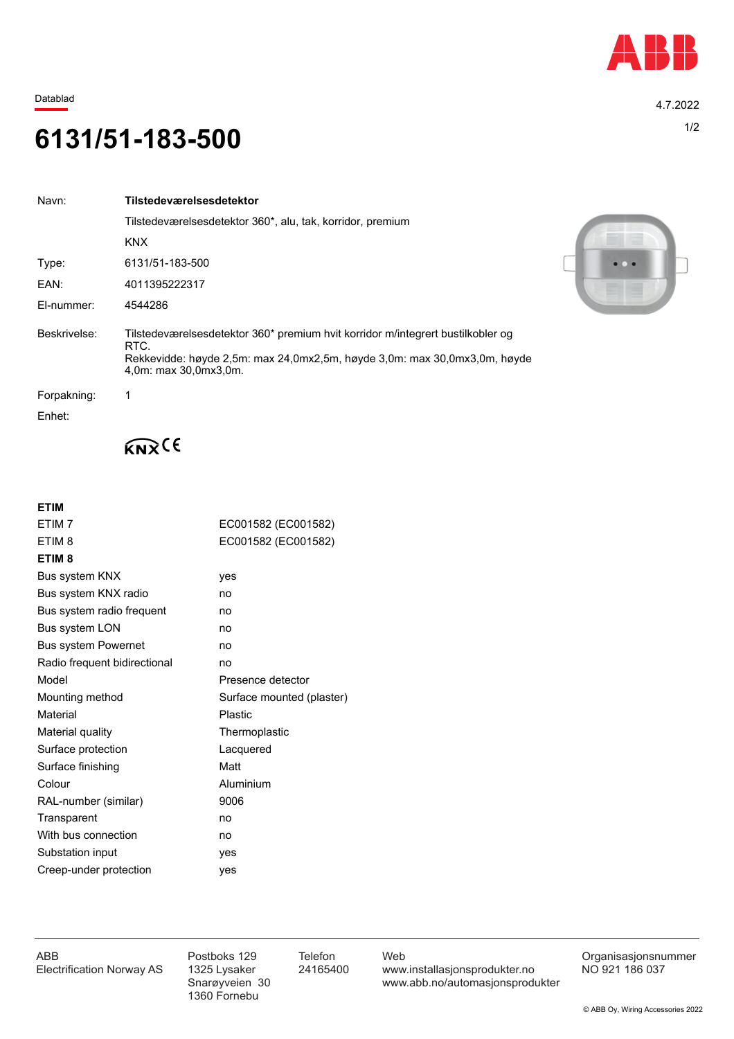

Datablad 4.7.2022

## 1/2 **6131/51-183-500**

| Navn:        | Tilstedeværelsesdetektor                                                                                                                                                                      |  |
|--------------|-----------------------------------------------------------------------------------------------------------------------------------------------------------------------------------------------|--|
|              | Tilstedeværelsesdetektor 360*, alu, tak, korridor, premium                                                                                                                                    |  |
|              | <b>KNX</b>                                                                                                                                                                                    |  |
| Type:        | 6131/51-183-500                                                                                                                                                                               |  |
| EAN:         | 4011395222317                                                                                                                                                                                 |  |
| El-nummer:   | 4544286                                                                                                                                                                                       |  |
| Beskrivelse: | Tilstedeværelsesdetektor 360* premium hvit korridor m/integrert bustilkobler og<br>RTC.<br>Rekkevidde: høyde 2,5m: max 24,0mx2,5m, høyde 3,0m: max 30,0mx3,0m, høyde<br>4,0m: max 30,0mx3,0m. |  |
| Forpakning:  | 1                                                                                                                                                                                             |  |
| Enhet:       |                                                                                                                                                                                               |  |



## $K_{\mathsf{N}}(6)$

## **ETIM**

| ETIM <sub>7</sub>            | EC001582 (EC001582)       |
|------------------------------|---------------------------|
| ETIM <sub>8</sub>            | EC001582 (EC001582)       |
| ETIM <sub>8</sub>            |                           |
| Bus system KNX               | yes                       |
| Bus system KNX radio         | no                        |
| Bus system radio frequent    | no                        |
| Bus system LON               | no                        |
| <b>Bus system Powernet</b>   | no                        |
| Radio frequent bidirectional | no                        |
| Model                        | Presence detector         |
| Mounting method              | Surface mounted (plaster) |
| Material                     | <b>Plastic</b>            |
| Material quality             | Thermoplastic             |
| Surface protection           | Lacquered                 |
| Surface finishing            | Matt                      |
| Colour                       | Aluminium                 |
| RAL-number (similar)         | 9006                      |
| Transparent                  | no                        |
| With bus connection          | no                        |
| Substation input             | yes                       |
| Creep-under protection       | ves                       |

1360 Fornebu

ABB Postboks 129 Telefon Web Postboks 129 Telefon Web Crganisasjonsnummer<br>Electrification Norway AS 1325 Lysaker 24165400 www.installasjonsprodukter.no NO 921 186 037 1325 Lysaker 24165400 www.installasjonsprodukter.no<br>Snarøyveien 30 www.abb.no/automasjonsprodu www.abb.no/automasjonsprodukter